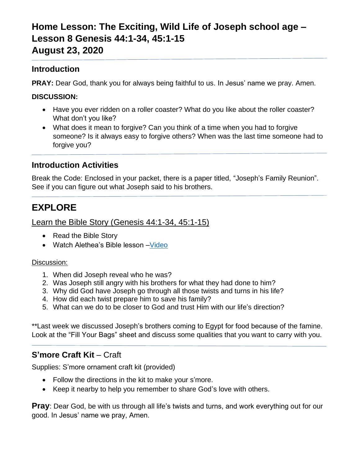# **Home Lesson: The Exciting, Wild Life of Joseph school age – Lesson 8 Genesis 44:1-34, 45:1-15 August 23, 2020**

### **Introduction**

**PRAY:** Dear God, thank you for always being faithful to us. In Jesus' name we pray. Amen.

#### **DISCUSSION:**

- Have you ever ridden on a roller coaster? What do you like about the roller coaster? What don't you like?
- What does it mean to forgive? Can you think of a time when you had to forgive someone? Is it always easy to forgive others? When was the last time someone had to forgive you?

### **Introduction Activities**

Break the Code: Enclosed in your packet, there is a paper titled, "Joseph's Family Reunion". See if you can figure out what Joseph said to his brothers.

# **EXPLORE**

Learn the Bible Story (Genesis 44:1-34, 45:1-15)

- Read the Bible Story
- Watch Alethea's Bible lesson Video

#### Discussion:

- 1. When did Joseph reveal who he was?
- 2. Was Joseph still angry with his brothers for what they had done to him?
- 3. Why did God have Joseph go through all those twists and turns in his life?
- 4. How did each twist prepare him to save his family?
- 5. What can we do to be closer to God and trust Him with our life's direction?

\*\*Last week we discussed Joseph's brothers coming to Egypt for food because of the famine. Look at the "Fill Your Bags" sheet and discuss some qualities that you want to carry with you.

## **S'more Craft Kit** – Craft

Supplies: S'more ornament craft kit (provided)

- Follow the directions in the kit to make your s'more.
- Keep it nearby to help you remember to share God's love with others.

**Pray**: Dear God, be with us through all life's twists and turns, and work everything out for our good. In Jesus' name we pray, Amen.